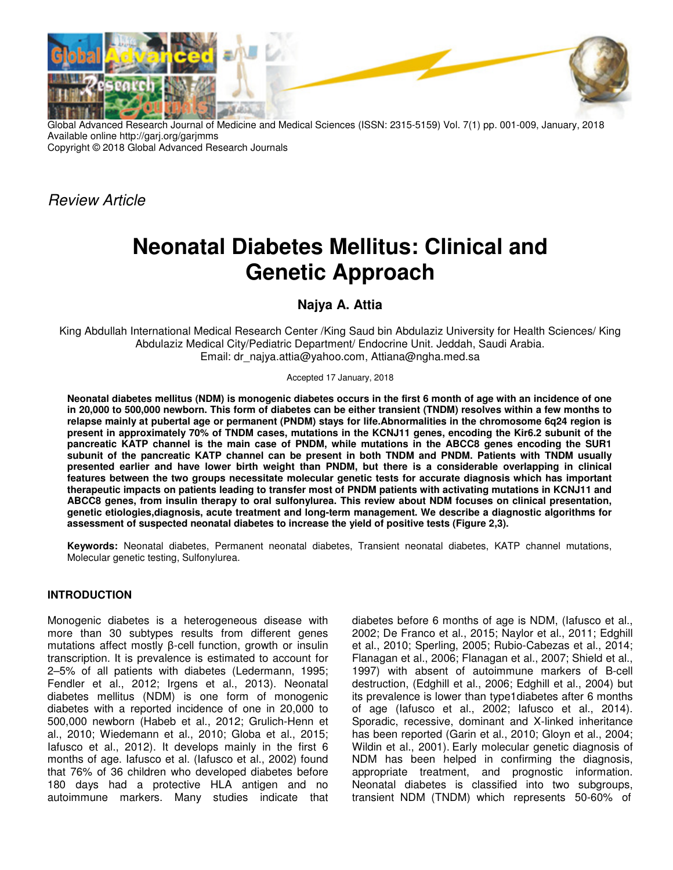

Global Advanced Research Journal of Medicine and Medical Sciences (ISSN: 2315-5159) Vol. 7(1) pp. 001-009, January, 2018 Available online http://garj.org/garjmms Copyright © 2018 Global Advanced Research Journals

Review Article

# **Neonatal Diabetes Mellitus: Clinical and Genetic Approach**

## **Najya A. Attia**

King Abdullah International Medical Research Center /King Saud bin Abdulaziz University for Health Sciences/ King Abdulaziz Medical City/Pediatric Department/ Endocrine Unit. Jeddah, Saudi Arabia. Email: dr\_najya.attia@yahoo.com, Attiana@ngha.med.sa

#### Accepted 17 January, 2018

**Neonatal diabetes mellitus (NDM) is monogenic diabetes occurs in the first 6 month of age with an incidence of one in 20,000 to 500,000 newborn. This form of diabetes can be either transient (TNDM) resolves within a few months to relapse mainly at pubertal age or permanent (PNDM) stays for life.Abnormalities in the chromosome 6q24 region is present in approximately 70% of TNDM cases, mutations in the KCNJ11 genes, encoding the Kir6.2 subunit of the pancreatic KATP channel is the main case of PNDM, while mutations in the ABCC8 genes encoding the SUR1 subunit of the pancreatic KATP channel can be present in both TNDM and PNDM. Patients with TNDM usually presented earlier and have lower birth weight than PNDM, but there is a considerable overlapping in clinical features between the two groups necessitate molecular genetic tests for accurate diagnosis which has important therapeutic impacts on patients leading to transfer most of PNDM patients with activating mutations in KCNJ11 and ABCC8 genes, from insulin therapy to oral sulfonylurea. This review about NDM focuses on clinical presentation, genetic etiologies,diagnosis, acute treatment and long-term management. We describe a diagnostic algorithms for assessment of suspected neonatal diabetes to increase the yield of positive tests (Figure 2,3).** 

**Keywords:** Neonatal diabetes, Permanent neonatal diabetes, Transient neonatal diabetes, KATP channel mutations, Molecular genetic testing, Sulfonylurea.

## **INTRODUCTION**

Monogenic diabetes is a heterogeneous disease with more than 30 subtypes results from different genes mutations affect mostly β-cell function, growth or insulin transcription. It is prevalence is estimated to account for 2–5% of all patients with diabetes (Ledermann, 1995; Fendler et al., 2012; Irgens et al., 2013). Neonatal diabetes mellitus (NDM) is one form of monogenic diabetes with a reported incidence of one in 20,000 to 500,000 newborn (Habeb et al., 2012; Grulich-Henn et al., 2010; Wiedemann et al., 2010; Globa et al., 2015; Iafusco et al., 2012). It develops mainly in the first 6 months of age. Iafusco et al. (Iafusco et al., 2002) found that 76% of 36 children who developed diabetes before 180 days had a protective HLA antigen and no autoimmune markers. Many studies indicate that

diabetes before 6 months of age is NDM, (Iafusco et al., 2002; De Franco et al., 2015; Naylor et al., 2011; Edghill et al., 2010; Sperling, 2005; Rubio-Cabezas et al., 2014; Flanagan et al., 2006; Flanagan et al., 2007; Shield et al., 1997) with absent of autoimmune markers of B-cell destruction, (Edghill et al., 2006; Edghill et al., 2004) but its prevalence is lower than type1diabetes after 6 months of age (Iafusco et al., 2002; Iafusco et al., 2014). Sporadic, recessive, dominant and X-linked inheritance has been reported (Garin et al., 2010; Gloyn et al., 2004; Wildin et al., 2001). Early molecular genetic diagnosis of NDM has been helped in confirming the diagnosis, appropriate treatment, and prognostic information. Neonatal diabetes is classified into two subgroups, transient NDM (TNDM) which represents 50-60% of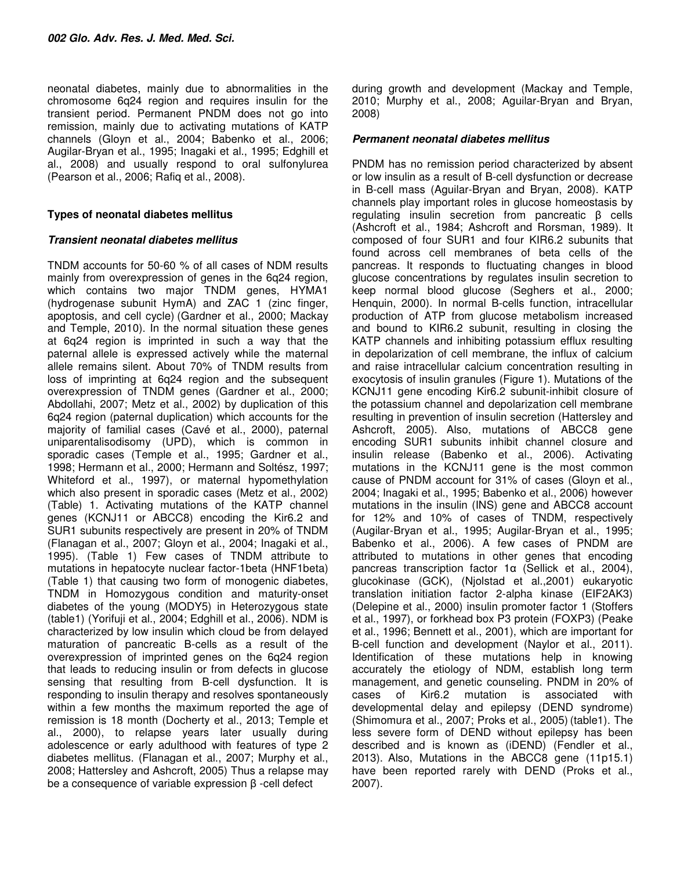neonatal diabetes, mainly due to abnormalities in the chromosome 6q24 region and requires insulin for the transient period. Permanent PNDM does not go into remission, mainly due to activating mutations of KATP channels (Gloyn et al., 2004; Babenko et al., 2006; Augilar-Bryan et al., 1995; Inagaki et al., 1995; Edghill et al., 2008) and usually respond to oral sulfonylurea (Pearson et al., 2006; Rafiq et al., 2008).

#### **Types of neonatal diabetes mellitus**

#### **Transient neonatal diabetes mellitus**

TNDM accounts for 50-60 % of all cases of NDM results mainly from overexpression of genes in the 6q24 region, which contains two major TNDM genes, HYMA1 (hydrogenase subunit HymA) and ZAC 1 (zinc finger, apoptosis, and cell cycle) (Gardner et al., 2000; Mackay and Temple, 2010). In the normal situation these genes at 6q24 region is imprinted in such a way that the paternal allele is expressed actively while the maternal allele remains silent. About 70% of TNDM results from loss of imprinting at 6q24 region and the subsequent overexpression of TNDM genes (Gardner et al., 2000; Abdollahi, 2007; Metz et al., 2002) by duplication of this 6q24 region (paternal duplication) which accounts for the majority of familial cases (Cavé et al., 2000), paternal uniparentalisodisomy (UPD), which is common in sporadic cases (Temple et al., 1995; Gardner et al., 1998; Hermann et al., 2000; Hermann and Soltész, 1997; Whiteford et al., 1997), or maternal hypomethylation which also present in sporadic cases (Metz et al., 2002) (Table) 1. Activating mutations of the KATP channel genes (KCNJ11 or ABCC8) encoding the Kir6.2 and SUR1 subunits respectively are present in 20% of TNDM (Flanagan et al., 2007; Gloyn et al., 2004; Inagaki et al., 1995). (Table 1) Few cases of TNDM attribute to mutations in hepatocyte nuclear factor-1beta (HNF1beta) (Table 1) that causing two form of monogenic diabetes, TNDM in Homozygous condition and maturity-onset diabetes of the young (MODY5) in Heterozygous state (table1) (Yorifuji et al., 2004; Edghill et al., 2006). NDM is characterized by low insulin which cloud be from delayed maturation of pancreatic Β-cells as a result of the overexpression of imprinted genes on the 6q24 region that leads to reducing insulin or from defects in glucose sensing that resulting from B-cell dysfunction. It is responding to insulin therapy and resolves spontaneously within a few months the maximum reported the age of remission is 18 month (Docherty et al., 2013; Temple et al., 2000), to relapse years later usually during adolescence or early adulthood with features of type 2 diabetes mellitus. (Flanagan et al., 2007; Murphy et al., 2008; Hattersley and Ashcroft, 2005) Thus a relapse may be a consequence of variable expression β -cell defect

during growth and development (Mackay and Temple, 2010; Murphy et al., 2008; Aguilar-Bryan and Bryan, 2008)

#### **Permanent neonatal diabetes mellitus**

PNDM has no remission period characterized by absent or low insulin as a result of B-cell dysfunction or decrease in B-cell mass (Aguilar-Bryan and Bryan, 2008). KATP channels play important roles in glucose homeostasis by regulating insulin secretion from pancreatic β cells (Ashcroft et al., 1984; Ashcroft and Rorsman, 1989). It composed of four SUR1 and four KIR6.2 subunits that found across cell membranes of beta cells of the pancreas. It responds to fluctuating changes in blood glucose concentrations by regulates insulin secretion to keep normal blood glucose (Seghers et al., 2000; Henquin, 2000). In normal B-cells function, intracellular production of ATP from glucose metabolism increased and bound to KIR6.2 subunit, resulting in closing the KATP channels and inhibiting potassium efflux resulting in depolarization of cell membrane, the influx of calcium and raise intracellular calcium concentration resulting in exocytosis of insulin granules (Figure 1). Mutations of the KCNJ11 gene encoding Kir6.2 subunit-inhibit closure of the potassium channel and depolarization cell membrane resulting in prevention of insulin secretion (Hattersley and Ashcroft, 2005). Also, mutations of ABCC8 gene encoding SUR1 subunits inhibit channel closure and insulin release (Babenko et al., 2006). Activating mutations in the KCNJ11 gene is the most common cause of PNDM account for 31% of cases (Gloyn et al., 2004; Inagaki et al., 1995; Babenko et al., 2006) however mutations in the insulin (INS) gene and ABCC8 account for 12% and 10% of cases of TNDM, respectively (Augilar-Bryan et al., 1995; Augilar-Bryan et al., 1995; Babenko et al., 2006). A few cases of PNDM are attributed to mutations in other genes that encoding pancreas transcription factor 1α (Sellick et al., 2004), glucokinase (GCK), (Njolstad et al.,2001) eukaryotic translation initiation factor 2-alpha kinase (EIF2AK3) (Delepine et al., 2000) insulin promoter factor 1 (Stoffers et al., 1997), or forkhead box P3 protein (FOXP3) (Peake et al., 1996; Bennett et al., 2001), which are important for B-cell function and development (Naylor et al., 2011). Identification of these mutations help in knowing accurately the etiology of NDM, establish long term management, and genetic counseling. PNDM in 20% of cases of Kir6.2 mutation is associated with developmental delay and epilepsy (DEND syndrome) (Shimomura et al., 2007; Proks et al., 2005) (table1). The less severe form of DEND without epilepsy has been described and is known as (iDEND) (Fendler et al., 2013). Also, Mutations in the ABCC8 gene (11p15.1) have been reported rarely with DEND (Proks et al., 2007).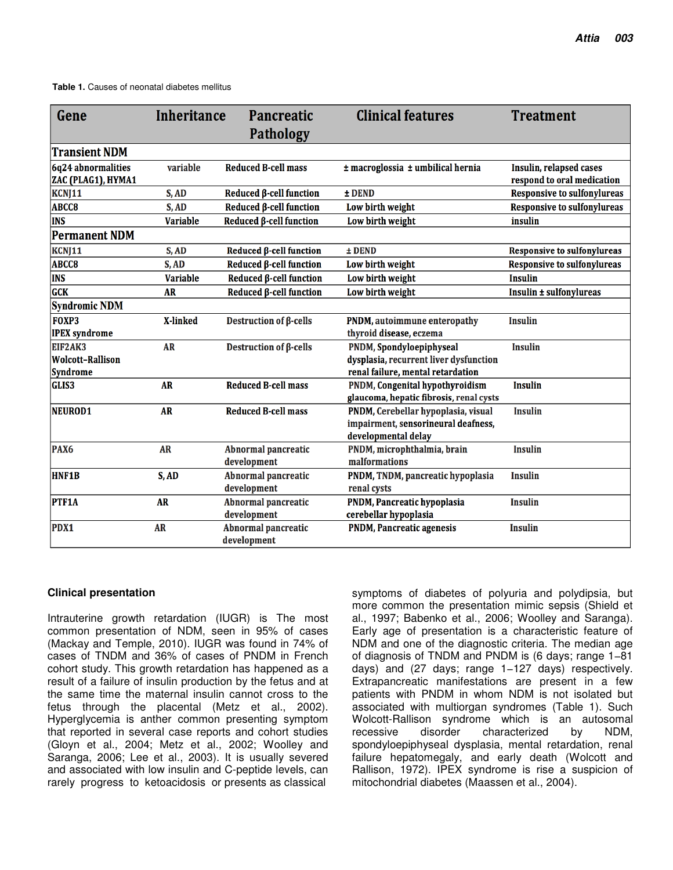| Gene                                     | <b>Inheritance</b> | <b>Pancreatic</b>                         | <b>Clinical features</b>                                                                          | <b>Treatment</b>                                      |
|------------------------------------------|--------------------|-------------------------------------------|---------------------------------------------------------------------------------------------------|-------------------------------------------------------|
|                                          |                    | <b>Pathology</b>                          |                                                                                                   |                                                       |
| <b>Transient NDM</b>                     |                    |                                           |                                                                                                   |                                                       |
| 6q24 abnormalities<br>ZAC (PLAG1), HYMA1 | variable           | <b>Reduced B-cell mass</b>                | ± macroglossia ± umbilical hernia                                                                 | Insulin, relapsed cases<br>respond to oral medication |
| KCNJ11                                   | S, AD              | Reduced β-cell function                   | ± DEND                                                                                            | <b>Responsive to sulfonylureas</b>                    |
| ABCC8                                    | S, AD              | Reduced ß-cell function                   | Low birth weight                                                                                  | <b>Responsive to sulfonylureas</b>                    |
| <b>INS</b>                               | <b>Variable</b>    | Reduced <b>ß-cell</b> function            | Low birth weight                                                                                  | insulin                                               |
| <b>Permanent NDM</b>                     |                    |                                           |                                                                                                   |                                                       |
| KCNJ11                                   | S, AD              | Reduced <b>ß-cell</b> function            | $±$ DEND                                                                                          | Responsive to sulfonylureas                           |
| ABCC8                                    | S, AD              | Reduced <b>ß-cell</b> function            | Low birth weight                                                                                  | <b>Responsive to sulfonylureas</b>                    |
| <b>INS</b>                               | <b>Variable</b>    | Reduced <b>ß-cell</b> function            | Low birth weight                                                                                  | <b>Insulin</b>                                        |
| <b>GCK</b>                               | <b>AR</b>          | Reduced <b>ß-cell</b> function            | Low birth weight                                                                                  | Insulin ± sulfonylureas                               |
| <b>Syndromic NDM</b>                     |                    |                                           |                                                                                                   |                                                       |
| <b>FOXP3</b>                             | X-linked           | Destruction of $\beta$ -cells             | PNDM, autoimmune enteropathy                                                                      | <b>Insulin</b>                                        |
| <b>IPEX</b> syndrome                     |                    |                                           | thyroid disease, eczema                                                                           |                                                       |
| EIF2AK3                                  | <b>AR</b>          | Destruction of $\beta$ -cells             | PNDM, Spondyloepiphyseal                                                                          | <b>Insulin</b>                                        |
| <b>Wolcott-Rallison</b>                  |                    |                                           | dysplasia, recurrent liver dysfunction                                                            |                                                       |
| <b>Syndrome</b>                          |                    |                                           | renal failure, mental retardation                                                                 |                                                       |
| <b>GLIS3</b>                             | <b>AR</b>          | <b>Reduced B-cell mass</b>                | PNDM, Congenital hypothyroidism<br>glaucoma, hepatic fibrosis, renal cysts                        | <b>Insulin</b>                                        |
| NEUROD1                                  | <b>AR</b>          | <b>Reduced B-cell mass</b>                | PNDM, Cerebellar hypoplasia, visual<br>impairment, sensorineural deafness,<br>developmental delay | <b>Insulin</b>                                        |
| PAX <sub>6</sub>                         | <b>AR</b>          | Abnormal pancreatic<br>development        | PNDM, microphthalmia, brain<br>malformations                                                      | <b>Insulin</b>                                        |
| <b>HNF1B</b>                             | S, AD              | <b>Abnormal pancreatic</b><br>development | PNDM, TNDM, pancreatic hypoplasia<br>renal cysts                                                  | <b>Insulin</b>                                        |
| <b>PTF1A</b>                             | <b>AR</b>          | Abnormal pancreatic<br>development        | PNDM, Pancreatic hypoplasia<br>cerebellar hypoplasia                                              | <b>Insulin</b>                                        |
| PDX1                                     | <b>AR</b>          | <b>Abnormal pancreatic</b><br>development | <b>PNDM, Pancreatic agenesis</b>                                                                  | <b>Insulin</b>                                        |

#### **Clinical presentation**

Intrauterine growth retardation (IUGR) is The most common presentation of NDM, seen in 95% of cases (Mackay and Temple, 2010). IUGR was found in 74% of cases of TNDM and 36% of cases of PNDM in French cohort study. This growth retardation has happened as a result of a failure of insulin production by the fetus and at the same time the maternal insulin cannot cross to the fetus through the placental (Metz et al., 2002). Hyperglycemia is anther common presenting symptom that reported in several case reports and cohort studies (Gloyn et al., 2004; Metz et al., 2002; Woolley and Saranga, 2006; Lee et al., 2003). It is usually severed and associated with low insulin and C-peptide levels, can rarely progress to ketoacidosis or presents as classical

symptoms of diabetes of polyuria and polydipsia, but more common the presentation mimic sepsis (Shield et al., 1997; Babenko et al., 2006; Woolley and Saranga). Early age of presentation is a characteristic feature of NDM and one of the diagnostic criteria. The median age of diagnosis of TNDM and PNDM is (6 days; range 1−81 days) and (27 days; range 1−127 days) respectively. Extrapancreatic manifestations are present in a few patients with PNDM in whom NDM is not isolated but associated with multiorgan syndromes (Table 1). Such Wolcott-Rallison syndrome which is an autosomal recessive disorder characterized by NDM, spondyloepiphyseal dysplasia, mental retardation, renal failure hepatomegaly, and early death (Wolcott and Rallison, 1972). IPEX syndrome is rise a suspicion of mitochondrial diabetes (Maassen et al., 2004).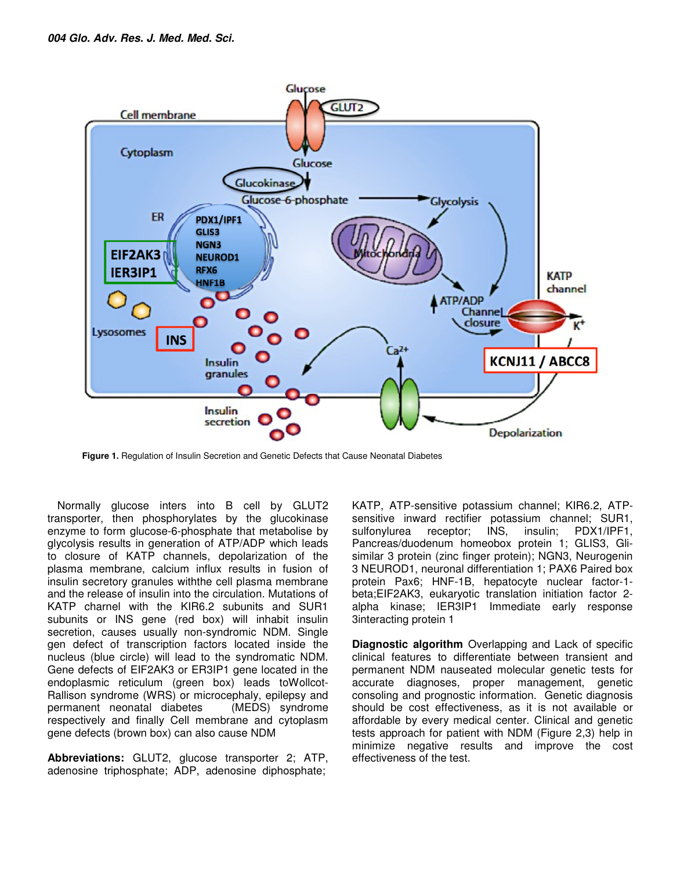

**Figure 1.** Regulation of Insulin Secretion and Genetic Defects that Cause Neonatal Diabetes

Normally glucose inters into B cell by GLUT2 transporter, then phosphorylates by the glucokinase enzyme to form glucose-6-phosphate that metabolise by glycolysis results in generation of ATP/ADP which leads to closure of KATP channels, depolarization of the plasma membrane, calcium influx results in fusion of insulin secretory granules withthe cell plasma membrane and the release of insulin into the circulation. Mutations of KATP charnel with the KIR6.2 subunits and SUR1 subunits or INS gene (red box) will inhabit insulin secretion, causes usually non-syndromic NDM. Single gen defect of transcription factors located inside the nucleus (blue circle) will lead to the syndromatic NDM. Gene defects of EIF2AK3 or ER3IP1 gene located in the endoplasmic reticulum (green box) leads toWollcot-Rallison syndrome (WRS) or microcephaly, epilepsy and permanent neonatal diabetes (MEDS) syndrome respectively and finally Cell membrane and cytoplasm gene defects (brown box) can also cause NDM

**Abbreviations:** GLUT2, glucose transporter 2; ATP, adenosine triphosphate; ADP, adenosine diphosphate;

KATP, ATP-sensitive potassium channel; KIR6.2, ATPsensitive inward rectifier potassium channel; SUR1, sulfonylurea receptor; INS, insulin; PDX1/IPF1, Pancreas/duodenum homeobox protein 1; GLIS3, Glisimilar 3 protein (zinc finger protein); NGN3, Neurogenin 3 NEUROD1, neuronal differentiation 1; PAX6 Paired box protein Pax6; HNF-1B, hepatocyte nuclear factor-1 beta;EIF2AK3, eukaryotic translation initiation factor 2 alpha kinase; IER3IP1 Immediate early response 3interacting protein 1

**Diagnostic algorithm** Overlapping and Lack of specific clinical features to differentiate between transient and permanent NDM nauseated molecular genetic tests for accurate diagnoses, proper management, genetic consoling and prognostic information. Genetic diagnosis should be cost effectiveness, as it is not available or affordable by every medical center. Clinical and genetic tests approach for patient with NDM (Figure 2,3) help in minimize negative results and improve the cost effectiveness of the test.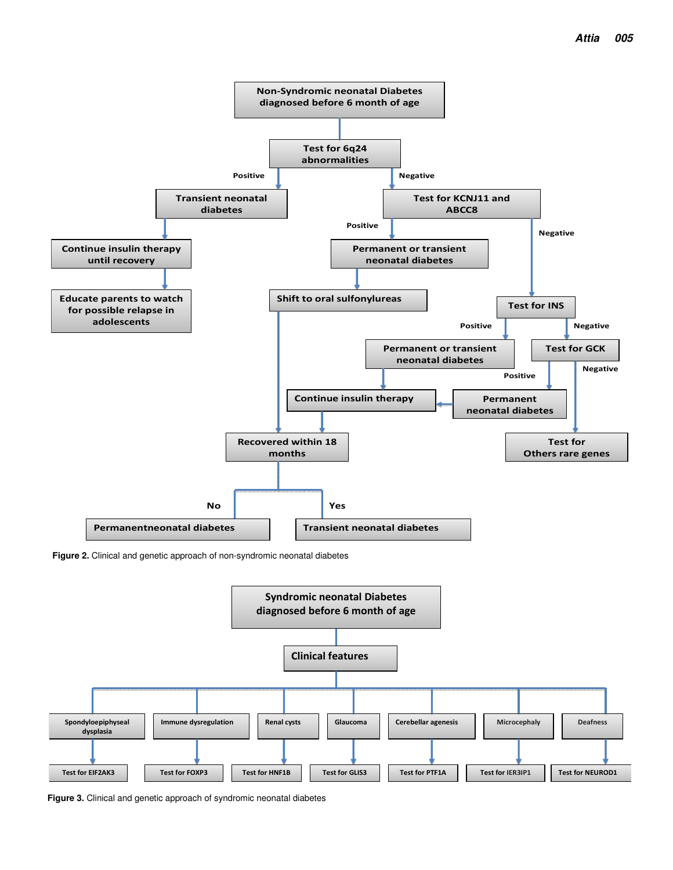

**Figure 2.** Clinical and genetic approach of non-syndromic neonatal diabetes



**Figure 3.** Clinical and genetic approach of syndromic neonatal diabetes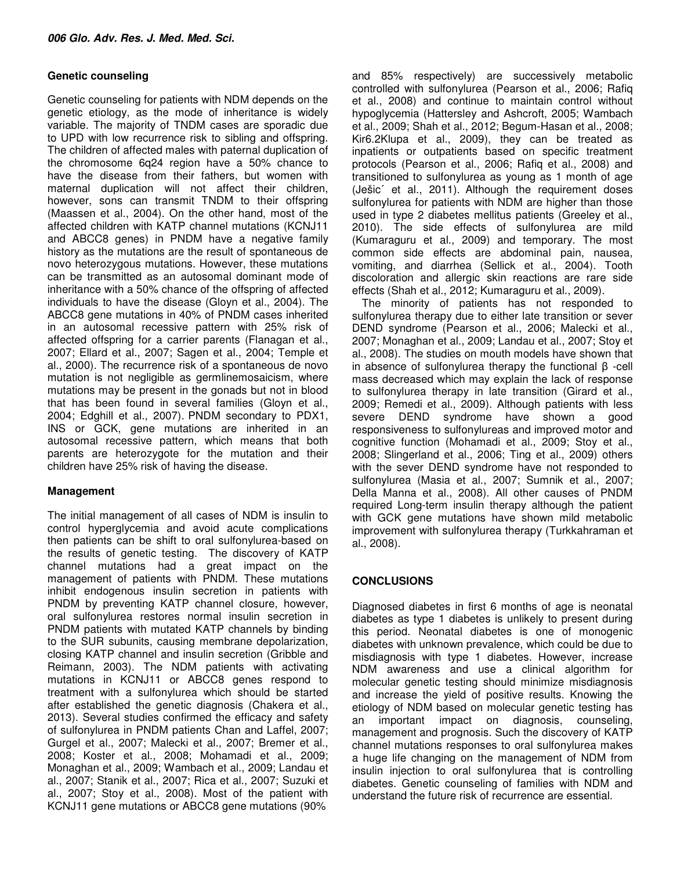#### **Genetic counseling**

Genetic counseling for patients with NDM depends on the genetic etiology, as the mode of inheritance is widely variable. The majority of TNDM cases are sporadic due to UPD with low recurrence risk to sibling and offspring. The children of affected males with paternal duplication of the chromosome 6q24 region have a 50% chance to have the disease from their fathers, but women with maternal duplication will not affect their children, however, sons can transmit TNDM to their offspring (Maassen et al., 2004). On the other hand, most of the affected children with KATP channel mutations (KCNJ11 and ABCC8 genes) in PNDM have a negative family history as the mutations are the result of spontaneous de novo heterozygous mutations. However, these mutations can be transmitted as an autosomal dominant mode of inheritance with a 50% chance of the offspring of affected individuals to have the disease (Gloyn et al., 2004). The ABCC8 gene mutations in 40% of PNDM cases inherited in an autosomal recessive pattern with 25% risk of affected offspring for a carrier parents (Flanagan et al., 2007; Ellard et al., 2007; Sagen et al., 2004; Temple et al., 2000). The recurrence risk of a spontaneous de novo mutation is not negligible as germlinemosaicism, where mutations may be present in the gonads but not in blood that has been found in several families (Gloyn et al., 2004; Edghill et al., 2007). PNDM secondary to PDX1, INS or GCK, gene mutations are inherited in an autosomal recessive pattern, which means that both parents are heterozygote for the mutation and their children have 25% risk of having the disease.

## **Management**

The initial management of all cases of NDM is insulin to control hyperglycemia and avoid acute complications then patients can be shift to oral sulfonylurea-based on the results of genetic testing. The discovery of KATP channel mutations had a great impact on the management of patients with PNDM. These mutations inhibit endogenous insulin secretion in patients with PNDM by preventing KATP channel closure, however, oral sulfonylurea restores normal insulin secretion in PNDM patients with mutated KATP channels by binding to the SUR subunits, causing membrane depolarization, closing KATP channel and insulin secretion (Gribble and Reimann, 2003). The NDM patients with activating mutations in KCNJ11 or ABCC8 genes respond to treatment with a sulfonylurea which should be started after established the genetic diagnosis (Chakera et al., 2013). Several studies confirmed the efficacy and safety of sulfonylurea in PNDM patients Chan and Laffel, 2007; Gurgel et al., 2007; Malecki et al., 2007; Bremer et al., 2008; Koster et al., 2008; Mohamadi et al., 2009; Monaghan et al., 2009; Wambach et al., 2009; Landau et al., 2007; Stanik et al., 2007; Rica et al., 2007; Suzuki et al., 2007; Stoy et al., 2008). Most of the patient with KCNJ11 gene mutations or ABCC8 gene mutations (90%

and 85% respectively) are successively metabolic controlled with sulfonylurea (Pearson et al., 2006; Rafiq et al., 2008) and continue to maintain control without hypoglycemia (Hattersley and Ashcroft, 2005; Wambach et al., 2009; Shah et al., 2012; Begum-Hasan et al., 2008; Kir6.2Klupa et al., 2009), they can be treated as inpatients or outpatients based on specific treatment protocols (Pearson et al., 2006; Rafiq et al., 2008) and transitioned to sulfonylurea as young as 1 month of age (Ješic´ et al., 2011). Although the requirement doses sulfonylurea for patients with NDM are higher than those used in type 2 diabetes mellitus patients (Greeley et al., 2010). The side effects of sulfonylurea are mild (Kumaraguru et al., 2009) and temporary. The most common side effects are abdominal pain, nausea, vomiting, and diarrhea (Sellick et al., 2004). Tooth discoloration and allergic skin reactions are rare side effects (Shah et al., 2012; Kumaraguru et al., 2009).

The minority of patients has not responded to sulfonylurea therapy due to either late transition or sever DEND syndrome (Pearson et al., 2006; Malecki et al., 2007; Monaghan et al., 2009; Landau et al., 2007; Stoy et al., 2008). The studies on mouth models have shown that in absence of sulfonylurea therapy the functional β -cell mass decreased which may explain the lack of response to sulfonylurea therapy in late transition (Girard et al., 2009; Remedi et al., 2009). Although patients with less severe DEND syndrome have shown a good responsiveness to sulfonylureas and improved motor and cognitive function (Mohamadi et al., 2009; Stoy et al., 2008; Slingerland et al., 2006; Ting et al., 2009) others with the sever DEND syndrome have not responded to sulfonylurea (Masia et al., 2007; Sumnik et al., 2007; Della Manna et al., 2008). All other causes of PNDM required Long-term insulin therapy although the patient with GCK gene mutations have shown mild metabolic improvement with sulfonylurea therapy (Turkkahraman et al., 2008).

## **CONCLUSIONS**

Diagnosed diabetes in first 6 months of age is neonatal diabetes as type 1 diabetes is unlikely to present during this period. Neonatal diabetes is one of monogenic diabetes with unknown prevalence, which could be due to misdiagnosis with type 1 diabetes. However, increase NDM awareness and use a clinical algorithm for molecular genetic testing should minimize misdiagnosis and increase the yield of positive results. Knowing the etiology of NDM based on molecular genetic testing has an important impact on diagnosis, counseling, management and prognosis. Such the discovery of KATP channel mutations responses to oral sulfonylurea makes a huge life changing on the management of NDM from insulin injection to oral sulfonylurea that is controlling diabetes. Genetic counseling of families with NDM and understand the future risk of recurrence are essential.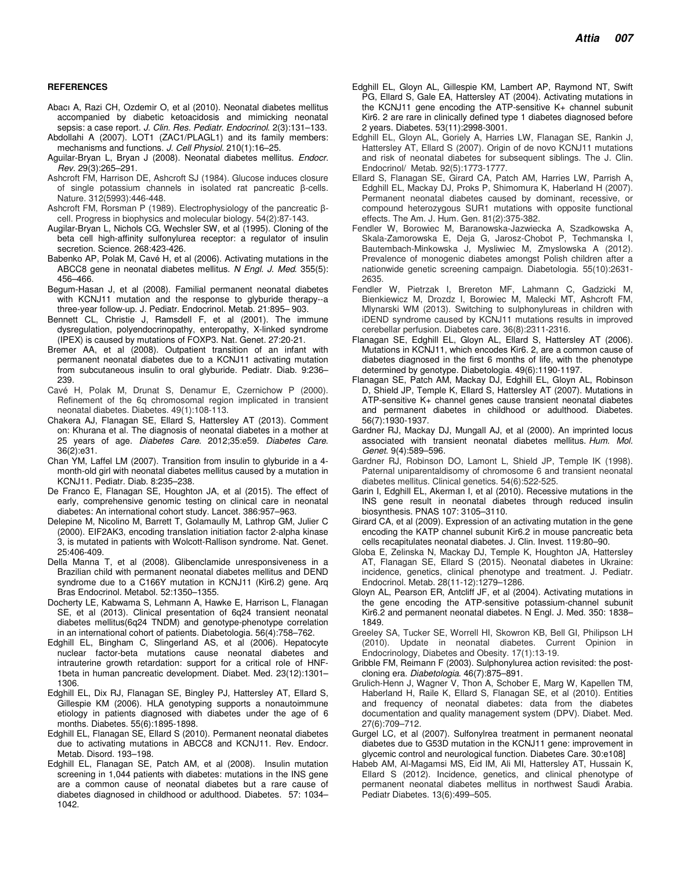#### **REFERENCES**

- Abacı A, Razi CH, Ozdemir O, et al (2010). Neonatal diabetes mellitus accompanied by diabetic ketoacidosis and mimicking neonatal sepsis: a case report. J. Clin. Res. Pediatr. Endocrinol. 2(3):131-133.
- Abdollahi A (2007). LOT1 (ZAC1/PLAGL1) and its family members: mechanisms and functions. J. Cell Physiol. 210(1):16–25.
- Aguilar-Bryan L, Bryan J (2008). Neonatal diabetes mellitus. Endocr. Rev. 29(3):265–291.
- Ashcroft FM, Harrison DE, Ashcroft SJ (1984). Glucose induces closure of single potassium channels in isolated rat pancreatic β-cells. Nature. 312(5993):446-448.
- Ashcroft FM, Rorsman P (1989). Electrophysiology of the pancreatic βcell. Progress in biophysics and molecular biology. 54(2):87-143.
- Augilar-Bryan L, Nichols CG, Wechsler SW, et al (1995). Cloning of the beta cell high-affinity sulfonylurea receptor: a regulator of insulin secretion. Science. 268:423-426.
- Babenko AP, Polak M, Cavé H, et al (2006). Activating mutations in the ABCC8 gene in neonatal diabetes mellitus. N Engl. J. Med. 355(5): 456–466.
- Begum-Hasan J, et al (2008). Familial permanent neonatal diabetes with KCNJ11 mutation and the response to glyburide therapy--a three-year follow-up. J. Pediatr. Endocrinol. Metab. 21:895– 903.
- Bennett CL, Christie J, Ramsdell F, et al (2001). The immune dysregulation, polyendocrinopathy, enteropathy, X-linked syndrome (IPEX) is caused by mutations of FOXP3. Nat. Genet. 27:20-21.
- Bremer AA, et al (2008). Outpatient transition of an infant with permanent neonatal diabetes due to a KCNJ11 activating mutation from subcutaneous insulin to oral glyburide. Pediatr. Diab. 9:236– 239.
- Cavé H, Polak M, Drunat S, Denamur E, Czernichow P (2000). Refinement of the 6q chromosomal region implicated in transient neonatal diabetes. Diabetes. 49(1):108-113.
- Chakera AJ, Flanagan SE, Ellard S, Hattersley AT (2013). Comment on: Khurana et al. The diagnosis of neonatal diabetes in a mother at 25 years of age. Diabetes Care. 2012;35:e59. Diabetes Care. 36(2):e31.
- Chan YM, Laffel LM (2007). Transition from insulin to glyburide in a 4 month-old girl with neonatal diabetes mellitus caused by a mutation in KCNJ11. Pediatr. Diab. 8:235–238.
- De Franco E, Flanagan SE, Houghton JA, et al (2015). The effect of early, comprehensive genomic testing on clinical care in neonatal diabetes: An international cohort study. Lancet. 386:957–963.
- Delepine M, Nicolino M, Barrett T, Golamaully M, Lathrop GM, Julier C (2000). EIF2AK3, encoding translation initiation factor 2-alpha kinase 3, is mutated in patients with Wolcott-Rallison syndrome. Nat. Genet. 25:406-409.
- Della Manna T, et al (2008). Glibenclamide unresponsiveness in a Brazilian child with permanent neonatal diabetes mellitus and DEND syndrome due to a C166Y mutation in KCNJ11 (Kir6.2) gene. Arq Bras Endocrinol. Metabol. 52:1350–1355.
- Docherty LE, Kabwama S, Lehmann A, Hawke E, Harrison L, Flanagan SE, et al (2013). Clinical presentation of 6q24 transient neonatal diabetes mellitus(6q24 TNDM) and genotype-phenotype correlation in an international cohort of patients. Diabetologia. 56(4):758–762.
- Edghill EL, Bingham C, Slingerland AS, et al (2006). Hepatocyte nuclear factor-beta mutations cause neonatal diabetes and intrauterine growth retardation: support for a critical role of HNF-1beta in human pancreatic development. Diabet. Med. 23(12):1301– 1306.
- Edghill EL, Dix RJ, Flanagan SE, Bingley PJ, Hattersley AT, Ellard S, Gillespie KM (2006). HLA genotyping supports a nonautoimmune etiology in patients diagnosed with diabetes under the age of 6 months. Diabetes. 55(6):1895-1898.
- Edghill EL, Flanagan SE, Ellard S (2010). Permanent neonatal diabetes due to activating mutations in ABCC8 and KCNJ11. Rev. Endocr. Metab. Disord. 193–198.
- Edghill EL, Flanagan SE, Patch AM, et al (2008). Insulin mutation screening in 1,044 patients with diabetes: mutations in the INS gene are a common cause of neonatal diabetes but a rare cause of diabetes diagnosed in childhood or adulthood. Diabetes. 57: 1034– 1042.
- Edghill EL, Gloyn AL, Gillespie KM, Lambert AP, Raymond NT, Swift PG, Ellard S, Gale EA, Hattersley AT (2004). Activating mutations in the KCNJ11 gene encoding the ATP-sensitive K+ channel subunit Kir6. 2 are rare in clinically defined type 1 diabetes diagnosed before 2 years. Diabetes. 53(11):2998-3001.
- Edghill EL, Gloyn AL, Goriely A, Harries LW, Flanagan SE, Rankin J, Hattersley AT, Ellard S (2007). Origin of de novo KCNJ11 mutations and risk of neonatal diabetes for subsequent siblings. The J. Clin. Endocrinol/ Metab. 92(5):1773-1777.
- Ellard S, Flanagan SE, Girard CA, Patch AM, Harries LW, Parrish A, Edghill EL, Mackay DJ, Proks P, Shimomura K, Haberland H (2007). Permanent neonatal diabetes caused by dominant, recessive, or compound heterozygous SUR1 mutations with opposite functional effects. The Am. J. Hum. Gen. 81(2):375-382.
- Fendler W, Borowiec M, Baranowska-Jazwiecka A, Szadkowska A, Skala-Zamorowska E, Deja G, Jarosz-Chobot P, Techmanska I, Bautembach-Minkowska J, Mysliwiec M, Zmyslowska A (2012). Prevalence of monogenic diabetes amongst Polish children after a nationwide genetic screening campaign. Diabetologia. 55(10):2631- 2635.
- Fendler W, Pietrzak I, Brereton MF, Lahmann C, Gadzicki M, Bienkiewicz M, Drozdz I, Borowiec M, Malecki MT, Ashcroft FM, Mlynarski WM (2013). Switching to sulphonylureas in children with iDEND syndrome caused by KCNJ11 mutations results in improved cerebellar perfusion. Diabetes care. 36(8):2311-2316.
- Flanagan SE, Edghill EL, Gloyn AL, Ellard S, Hattersley AT (2006). Mutations in KCNJ11, which encodes Kir6. 2, are a common cause of diabetes diagnosed in the first 6 months of life, with the phenotype determined by genotype. Diabetologia. 49(6):1190-1197.
- Flanagan SE, Patch AM, Mackay DJ, Edghill EL, Gloyn AL, Robinson D, Shield JP, Temple K, Ellard S, Hattersley AT (2007). Mutations in ATP-sensitive K+ channel genes cause transient neonatal diabetes and permanent diabetes in childhood or adulthood. Diabetes. 56(7):1930-1937.
- Gardner RJ, Mackay DJ, Mungall AJ, et al (2000). An imprinted locus associated with transient neonatal diabetes mellitus. Hum. Mol. Genet. 9(4):589–596.
- Gardner RJ, Robinson DO, Lamont L, Shield JP, Temple IK (1998). Paternal uniparentaldisomy of chromosome 6 and transient neonatal diabetes mellitus. Clinical genetics. 54(6):522-525.
- Garin I, Edghill EL, Akerman I, et al (2010). Recessive mutations in the INS gene result in neonatal diabetes through reduced insulin biosynthesis. PNAS 107: 3105–3110.
- Girard CA, et al (2009). Expression of an activating mutation in the gene encoding the KATP channel subunit Kir6.2 in mouse pancreatic beta cells recapitulates neonatal diabetes. J. Clin. Invest. 119:80–90.
- Globa E, Zelinska N, Mackay DJ, Temple K, Houghton JA, Hattersley AT, Flanagan SE, Ellard S (2015). Neonatal diabetes in Ukraine: incidence, genetics, clinical phenotype and treatment. J. Pediatr. Endocrinol. Metab. 28(11-12):1279–1286.
- Gloyn AL, Pearson ER, Antcliff JF, et al (2004). Activating mutations in the gene encoding the ATP-sensitive potassium-channel subunit Kir6.2 and permanent neonatal diabetes. N Engl. J. Med. 350: 1838– 1849.
- Greeley SA, Tucker SE, Worrell HI, Skowron KB, Bell GI, Philipson LH (2010). Update in neonatal diabetes. Current Opinion in Endocrinology, Diabetes and Obesity. 17(1):13-19.
- Gribble FM, Reimann F (2003). Sulphonylurea action revisited: the postcloning era. Diabetologia. 46(7):875–891.
- Grulich-Henn J, Wagner V, Thon A, Schober E, Marg W, Kapellen TM, Haberland H, Raile K, Ellard S, Flanagan SE, et al (2010). Entities and frequency of neonatal diabetes: data from the diabetes documentation and quality management system (DPV). Diabet. Med. 27(6):709–712.
- Gurgel LC, et al (2007). Sulfonylrea treatment in permanent neonatal diabetes due to G53D mutation in the KCNJ11 gene: improvement in glycemic control and neurological function. Diabetes Care. 30:e108]
- Habeb AM, Al-Magamsi MS, Eid IM, Ali MI, Hattersley AT, Hussain K, Ellard S (2012). Incidence, genetics, and clinical phenotype of permanent neonatal diabetes mellitus in northwest Saudi Arabia. Pediatr Diabetes. 13(6):499–505.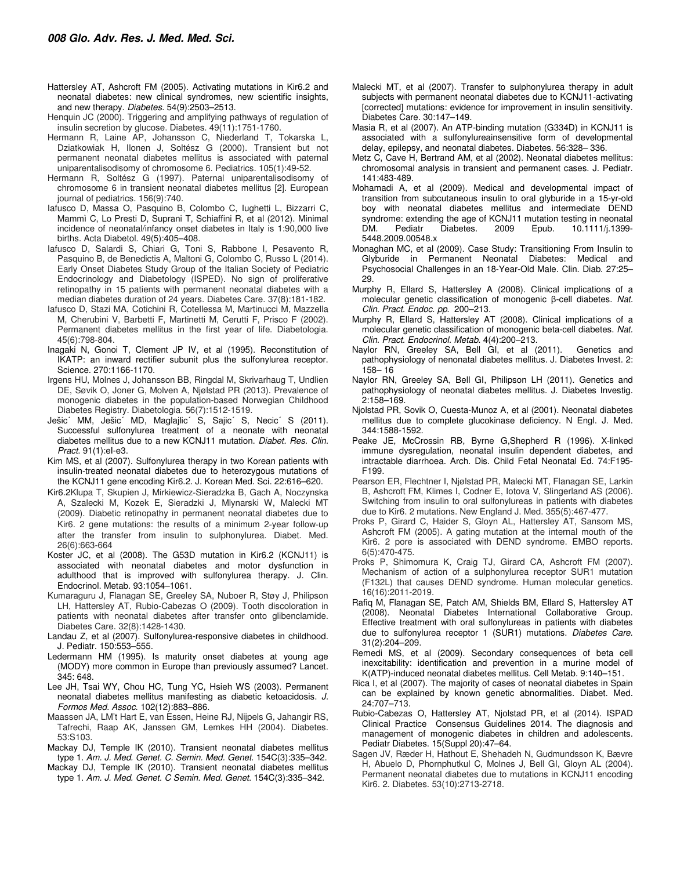- Hattersley AT, Ashcroft FM (2005). Activating mutations in Kir6.2 and neonatal diabetes: new clinical syndromes, new scientific insights, and new therapy. Diabetes. 54(9):2503-2513.
- Henquin JC (2000). Triggering and amplifying pathways of regulation of insulin secretion by glucose. Diabetes. 49(11):1751-1760.
- Hermann R, Laine AP, Johansson C, Niederland T, Tokarska L, Dziatkowiak H, Ilonen J, Soltész G (2000). Transient but not permanent neonatal diabetes mellitus is associated with paternal uniparentalisodisomy of chromosome 6. Pediatrics. 105(1):49-52.
- Hermann R, Soltész G (1997). Paternal uniparentalisodisomy of chromosome 6 in transient neonatal diabetes mellitus [2]. European journal of pediatrics. 156(9):740.
- Iafusco D, Massa O, Pasquino B, Colombo C, Iughetti L, Bizzarri C, Mammì C, Lo Presti D, Suprani T, Schiaffini R, et al (2012). Minimal incidence of neonatal/infancy onset diabetes in Italy is 1:90,000 live births. Acta Diabetol. 49(5):405–408.
- Iafusco D, Salardi S, Chiari G, Toni S, Rabbone I, Pesavento R, Pasquino B, de Benedictis A, Maltoni G, Colombo C, Russo L (2014). Early Onset Diabetes Study Group of the Italian Society of Pediatric Endocrinology and Diabetology (ISPED). No sign of proliferative retinopathy in 15 patients with permanent neonatal diabetes with a median diabetes duration of 24 years. Diabetes Care. 37(8):181-182.
- Iafusco D, Stazi MA, Cotichini R, Cotellessa M, Martinucci M, Mazzella M, Cherubini V, Barbetti F, Martinetti M, Cerutti F, Prisco F (2002). Permanent diabetes mellitus in the first year of life. Diabetologia. 45(6):798-804.
- Inagaki N, Gonoi T, Clement JP IV, et al (1995). Reconstitution of IKATP: an inward rectifier subunit plus the sulfonylurea receptor. Science. 270:1166-1170.
- Irgens HU, Molnes J, Johansson BB, Ringdal M, Skrivarhaug T, Undlien DE, Søvik O, Joner G, Molven A, Njølstad PR (2013). Prevalence of monogenic diabetes in the population-based Norwegian Childhood Diabetes Registry. Diabetologia. 56(7):1512-1519.
- Ješic´ MM, Ješic´ MD, Maglajlic´ S, Sajic´ S, Necic´ S (2011). Successful sulfonylurea treatment of a neonate with neonatal diabetes mellitus due to a new KCNJ11 mutation. Diabet. Res. Clin. Pract. 91(1):eI-e3.
- Kim MS, et al (2007). Sulfonylurea therapy in two Korean patients with insulin-treated neonatal diabetes due to heterozygous mutations of the KCNJ11 gene encoding Kir6.2. J. Korean Med. Sci. 22:616–620.
- Kir6.2Klupa T, Skupien J, Mirkiewicz‐Sieradzka B, Gach A, Noczynska A, Szalecki M, Kozek E, Sieradzki J, Mlynarski W, Malecki MT (2009). Diabetic retinopathy in permanent neonatal diabetes due to Kir6. 2 gene mutations: the results of a minimum 2‐year follow‐up after the transfer from insulin to sulphonylurea. Diabet. Med. 26(6):663-664
- Koster JC, et al (2008). The G53D mutation in Kir6.2 (KCNJ11) is associated with neonatal diabetes and motor dysfunction in adulthood that is improved with sulfonylurea therapy. J. Clin. Endocrinol. Metab. 93:1054–1061.
- Kumaraguru J, Flanagan SE, Greeley SA, Nuboer R, Støy J, Philipson LH, Hattersley AT, Rubio-Cabezas O (2009). Tooth discoloration in patients with neonatal diabetes after transfer onto glibenclamide. Diabetes Care. 32(8):1428-1430.
- Landau Z, et al (2007). Sulfonylurea-responsive diabetes in childhood. J. Pediatr. 150:553–555.
- Ledermann HM (1995). Is maturity onset diabetes at young age (MODY) more common in Europe than previously assumed? Lancet. 345: 648.
- Lee JH, Tsai WY, Chou HC, Tung YC, Hsieh WS (2003). Permanent neonatal diabetes mellitus manifesting as diabetic ketoacidosis. J. Formos Med. Assoc. 102(12):883–886.
- Maassen JA, LM't Hart E, van Essen, Heine RJ, Nijpels G, Jahangir RS, Tafrechi, Raap AK, Janssen GM, Lemkes HH (2004). Diabetes. 53:S103.
- Mackay DJ, Temple IK (2010). Transient neonatal diabetes mellitus type 1. Am. J. Med. Genet. C. Semin. Med. Genet. 154C(3):335–342.
- Mackay DJ, Temple IK (2010). Transient neonatal diabetes mellitus type 1. Am. J. Med. Genet. C Semin. Med. Genet. 154C(3):335–342.
- Malecki MT, et al (2007). Transfer to sulphonylurea therapy in adult subjects with permanent neonatal diabetes due to KCNJ11-activating [corrected] mutations: evidence for improvement in insulin sensitivity. Diabetes Care. 30:147–149.
- Masia R, et al (2007). An ATP-binding mutation (G334D) in KCNJ11 is associated with a sulfonylureainsensitive form of developmental delay, epilepsy, and neonatal diabetes. Diabetes. 56:328– 336.
- Metz C, Cave H, Bertrand AM, et al (2002). Neonatal diabetes mellitus: chromosomal analysis in transient and permanent cases. J. Pediatr. 141:483-489.
- Mohamadi A, et al (2009). Medical and developmental impact of transition from subcutaneous insulin to oral glyburide in a 15-yr-old boy with neonatal diabetes mellitus and intermediate DEND syndrome: extending the age of KCNJ11 mutation testing in neonatal<br>DM. Pediatr Diabetes. 2009 Epub. 10.1111/j.1399-10.1111/i.1399-5448.2009.00548.x
- Monaghan MC, et al (2009). Case Study: Transitioning From Insulin to Glyburide in Permanent Neonatal Diabetes: Medical and Psychosocial Challenges in an 18-Year-Old Male. Clin. Diab. 27:25– 29.
- Murphy R, Ellard S, Hattersley A (2008). Clinical implications of a molecular genetic classification of monogenic β-cell diabetes. Nat. Clin. Pract. Endoc. pp. 200–213.
- Murphy R, Ellard S, Hattersley AT (2008). Clinical implications of a molecular genetic classification of monogenic beta-cell diabetes. Nat. Clin. Pract. Endocrinol. Metab. 4(4):200–213.
- Naylor RN, Greeley SA, Bell GI, et al (2011). Genetics and pathophysiology of nenonatal diabetes mellitus. J. Diabetes Invest. 2: 158– 16
- Naylor RN, Greeley SA, Bell GI, Philipson LH (2011). Genetics and pathophysiology of neonatal diabetes mellitus. J. Diabetes Investig. 2:158–169.
- Njolstad PR, Sovik O, Cuesta-Munoz A, et al (2001). Neonatal diabetes mellitus due to complete glucokinase deficiency. N Engl. J. Med. 344:1588-1592.
- Peake JE, McCrossin RB, Byrne G,Shepherd R (1996). X-linked immune dysregulation, neonatal insulin dependent diabetes, and intractable diarrhoea. Arch. Dis. Child Fetal Neonatal Ed. 74:F195- F199.
- Pearson ER, Flechtner I, Njølstad PR, Malecki MT, Flanagan SE, Larkin B, Ashcroft FM, Klimes I, Codner E, Iotova V, Slingerland AS (2006). Switching from insulin to oral sulfonylureas in patients with diabetes due to Kir6. 2 mutations. New England J. Med. 355(5):467-477.
- Proks P, Girard C, Haider S, Gloyn AL, Hattersley AT, Sansom MS, Ashcroft FM (2005). A gating mutation at the internal mouth of the Kir6. 2 pore is associated with DEND syndrome. EMBO reports. 6(5):470-475.
- Proks P, Shimomura K, Craig TJ, Girard CA, Ashcroft FM (2007). Mechanism of action of a sulphonylurea receptor SUR1 mutation (F132L) that causes DEND syndrome. Human molecular genetics. 16(16):2011-2019.
- Rafiq M, Flanagan SE, Patch AM, Shields BM, Ellard S, Hattersley AT (2008). Neonatal Diabetes International Collaborative Group. Effective treatment with oral sulfonylureas in patients with diabetes due to sulfonylurea receptor 1 (SUR1) mutations. Diabetes Care. 31(2):204–209.
- Remedi MS, et al (2009). Secondary consequences of beta cell inexcitability: identification and prevention in a murine model of K(ATP)-induced neonatal diabetes mellitus. Cell Metab. 9:140–151.
- Rica I, et al (2007). The majority of cases of neonatal diabetes in Spain can be explained by known genetic abnormalities. Diabet. Med. 24:707–713.
- Rubio-Cabezas O, Hattersley AT, Njolstad PR, et al (2014). ISPAD Clinical Practice Consensus Guidelines 2014. The diagnosis and management of monogenic diabetes in children and adolescents. Pediatr Diabetes. 15(Suppl 20):47–64.
- Sagen JV, Ræder H, Hathout E, Shehadeh N, Gudmundsson K, Bævre H, Abuelo D, Phornphutkul C, Molnes J, Bell GI, Gloyn AL (2004). Permanent neonatal diabetes due to mutations in KCNJ11 encoding Kir6. 2. Diabetes. 53(10):2713-2718.